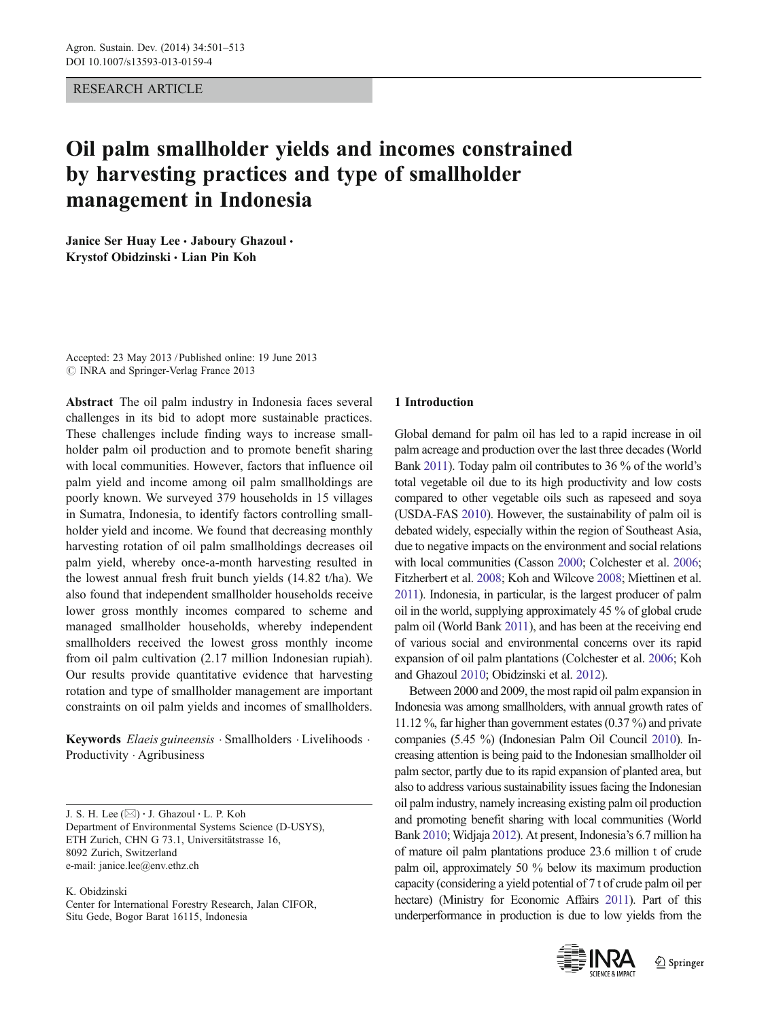### RESEARCH ARTICLE

# Oil palm smallholder yields and incomes constrained by harvesting practices and type of smallholder management in Indonesia

Janice Ser Huay Lee · Jaboury Ghazoul · Krystof Obidzinski & Lian Pin Koh

Accepted: 23 May 2013 / Published online: 19 June 2013  $\oslash$  INRA and Springer-Verlag France 2013

Abstract The oil palm industry in Indonesia faces several challenges in its bid to adopt more sustainable practices. These challenges include finding ways to increase smallholder palm oil production and to promote benefit sharing with local communities. However, factors that influence oil palm yield and income among oil palm smallholdings are poorly known. We surveyed 379 households in 15 villages in Sumatra, Indonesia, to identify factors controlling smallholder yield and income. We found that decreasing monthly harvesting rotation of oil palm smallholdings decreases oil palm yield, whereby once-a-month harvesting resulted in the lowest annual fresh fruit bunch yields (14.82 t/ha). We also found that independent smallholder households receive lower gross monthly incomes compared to scheme and managed smallholder households, whereby independent smallholders received the lowest gross monthly income from oil palm cultivation (2.17 million Indonesian rupiah). Our results provide quantitative evidence that harvesting rotation and type of smallholder management are important constraints on oil palm yields and incomes of smallholders.

Keywords Elaeis guineensis · Smallholders · Livelihoods · Productivity . Agribusiness

J. S. H. Lee (\*) : J. Ghazoul : L. P. Koh Department of Environmental Systems Science (D-USYS), ETH Zurich, CHN G 73.1, Universitätstrasse 16, 8092 Zurich, Switzerland e-mail: janice.lee@env.ethz.ch

K. Obidzinski

Center for International Forestry Research, Jalan CIFOR, Situ Gede, Bogor Barat 16115, Indonesia

# 1 Introduction

Global demand for palm oil has led to a rapid increase in oil palm acreage and production over the last three decades (World Bank [2011\)](#page-12-0). Today palm oil contributes to 36 % of the world's total vegetable oil due to its high productivity and low costs compared to other vegetable oils such as rapeseed and soya (USDA-FAS [2010](#page-12-0)). However, the sustainability of palm oil is debated widely, especially within the region of Southeast Asia, due to negative impacts on the environment and social relations with local communities (Casson [2000;](#page-11-0) Colchester et al. [2006;](#page-11-0) Fitzherbert et al. [2008](#page-11-0); Koh and Wilcove [2008](#page-12-0); Miettinen et al. [2011](#page-12-0)). Indonesia, in particular, is the largest producer of palm oil in the world, supplying approximately 45 % of global crude palm oil (World Bank [2011](#page-12-0)), and has been at the receiving end of various social and environmental concerns over its rapid expansion of oil palm plantations (Colchester et al. [2006](#page-11-0); Koh and Ghazoul [2010;](#page-12-0) Obidzinski et al. [2012](#page-12-0)).

Between 2000 and 2009, the most rapid oil palm expansion in Indonesia was among smallholders, with annual growth rates of 11.12 %, far higher than government estates (0.37 %) and private companies (5.45 %) (Indonesian Palm Oil Council [2010\)](#page-12-0). Increasing attention is being paid to the Indonesian smallholder oil palm sector, partly due to its rapid expansion of planted area, but also to address various sustainability issues facing the Indonesian oil palm industry, namely increasing existing palm oil production and promoting benefit sharing with local communities (World Bank [2010;](#page-12-0) Widjaja [2012\)](#page-12-0). At present, Indonesia's 6.7 million ha of mature oil palm plantations produce 23.6 million t of crude palm oil, approximately 50 % below its maximum production capacity (considering a yield potential of 7 t of crude palm oil per hectare) (Ministry for Economic Affairs [2011](#page-12-0)). Part of this underperformance in production is due to low yields from the

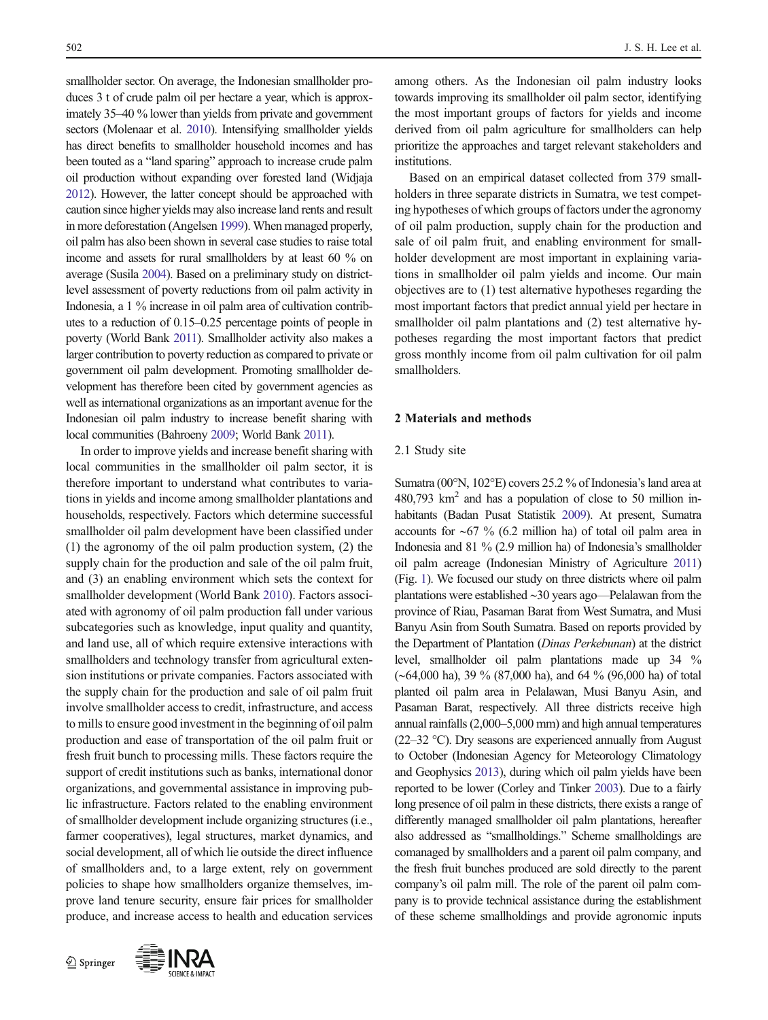smallholder sector. On average, the Indonesian smallholder produces 3 t of crude palm oil per hectare a year, which is approximately 35–40 % lower than yields from private and government sectors (Molenaar et al. [2010](#page-12-0)). Intensifying smallholder yields has direct benefits to smallholder household incomes and has been touted as a "land sparing" approach to increase crude palm oil production without expanding over forested land (Widjaja [2012\)](#page-12-0). However, the latter concept should be approached with caution since higher yields may also increase land rents and result in more deforestation (Angelsen [1999](#page-11-0)). When managed properly, oil palm has also been shown in several case studies to raise total income and assets for rural smallholders by at least 60 % on average (Susila [2004\)](#page-12-0). Based on a preliminary study on districtlevel assessment of poverty reductions from oil palm activity in Indonesia, a 1 % increase in oil palm area of cultivation contributes to a reduction of 0.15–0.25 percentage points of people in poverty (World Bank [2011](#page-12-0)). Smallholder activity also makes a larger contribution to poverty reduction as compared to private or government oil palm development. Promoting smallholder development has therefore been cited by government agencies as well as international organizations as an important avenue for the Indonesian oil palm industry to increase benefit sharing with local communities (Bahroeny [2009](#page-11-0); World Bank [2011](#page-12-0)).

In order to improve yields and increase benefit sharing with local communities in the smallholder oil palm sector, it is therefore important to understand what contributes to variations in yields and income among smallholder plantations and households, respectively. Factors which determine successful smallholder oil palm development have been classified under (1) the agronomy of the oil palm production system, (2) the supply chain for the production and sale of the oil palm fruit, and (3) an enabling environment which sets the context for smallholder development (World Bank [2010\)](#page-12-0). Factors associated with agronomy of oil palm production fall under various subcategories such as knowledge, input quality and quantity, and land use, all of which require extensive interactions with smallholders and technology transfer from agricultural extension institutions or private companies. Factors associated with the supply chain for the production and sale of oil palm fruit involve smallholder access to credit, infrastructure, and access to mills to ensure good investment in the beginning of oil palm production and ease of transportation of the oil palm fruit or fresh fruit bunch to processing mills. These factors require the support of credit institutions such as banks, international donor organizations, and governmental assistance in improving public infrastructure. Factors related to the enabling environment of smallholder development include organizing structures (i.e., farmer cooperatives), legal structures, market dynamics, and social development, all of which lie outside the direct influence of smallholders and, to a large extent, rely on government policies to shape how smallholders organize themselves, improve land tenure security, ensure fair prices for smallholder produce, and increase access to health and education services

 $\hat{\mathcal{D}}$  Springer



among others. As the Indonesian oil palm industry looks towards improving its smallholder oil palm sector, identifying the most important groups of factors for yields and income derived from oil palm agriculture for smallholders can help prioritize the approaches and target relevant stakeholders and institutions.

Based on an empirical dataset collected from 379 smallholders in three separate districts in Sumatra, we test competing hypotheses of which groups of factors under the agronomy of oil palm production, supply chain for the production and sale of oil palm fruit, and enabling environment for smallholder development are most important in explaining variations in smallholder oil palm yields and income. Our main objectives are to (1) test alternative hypotheses regarding the most important factors that predict annual yield per hectare in smallholder oil palm plantations and (2) test alternative hypotheses regarding the most important factors that predict gross monthly income from oil palm cultivation for oil palm smallholders.

#### 2 Materials and methods

#### 2.1 Study site

Sumatra (00°N, 102°E) covers 25.2 % of Indonesia's land area at  $480,793$  km<sup>2</sup> and has a population of close to 50 million inhabitants (Badan Pusat Statistik [2009\)](#page-12-0). At present, Sumatra accounts for ∼67 % (6.2 million ha) of total oil palm area in Indonesia and 81 % (2.9 million ha) of Indonesia's smallholder oil palm acreage (Indonesian Ministry of Agriculture [2011](#page-12-0)) (Fig. [1](#page-2-0)). We focused our study on three districts where oil palm plantations were established ∼30 years ago—Pelalawan from the province of Riau, Pasaman Barat from West Sumatra, and Musi Banyu Asin from South Sumatra. Based on reports provided by the Department of Plantation (Dinas Perkebunan) at the district level, smallholder oil palm plantations made up 34 % (∼64,000 ha), 39 % (87,000 ha), and 64 % (96,000 ha) of total planted oil palm area in Pelalawan, Musi Banyu Asin, and Pasaman Barat, respectively. All three districts receive high annual rainfalls (2,000–5,000 mm) and high annual temperatures (22–32 °C). Dry seasons are experienced annually from August to October (Indonesian Agency for Meteorology Climatology and Geophysics [2013](#page-12-0)), during which oil palm yields have been reported to be lower (Corley and Tinker [2003](#page-11-0)). Due to a fairly long presence of oil palm in these districts, there exists a range of differently managed smallholder oil palm plantations, hereafter also addressed as "smallholdings." Scheme smallholdings are comanaged by smallholders and a parent oil palm company, and the fresh fruit bunches produced are sold directly to the parent company's oil palm mill. The role of the parent oil palm company is to provide technical assistance during the establishment of these scheme smallholdings and provide agronomic inputs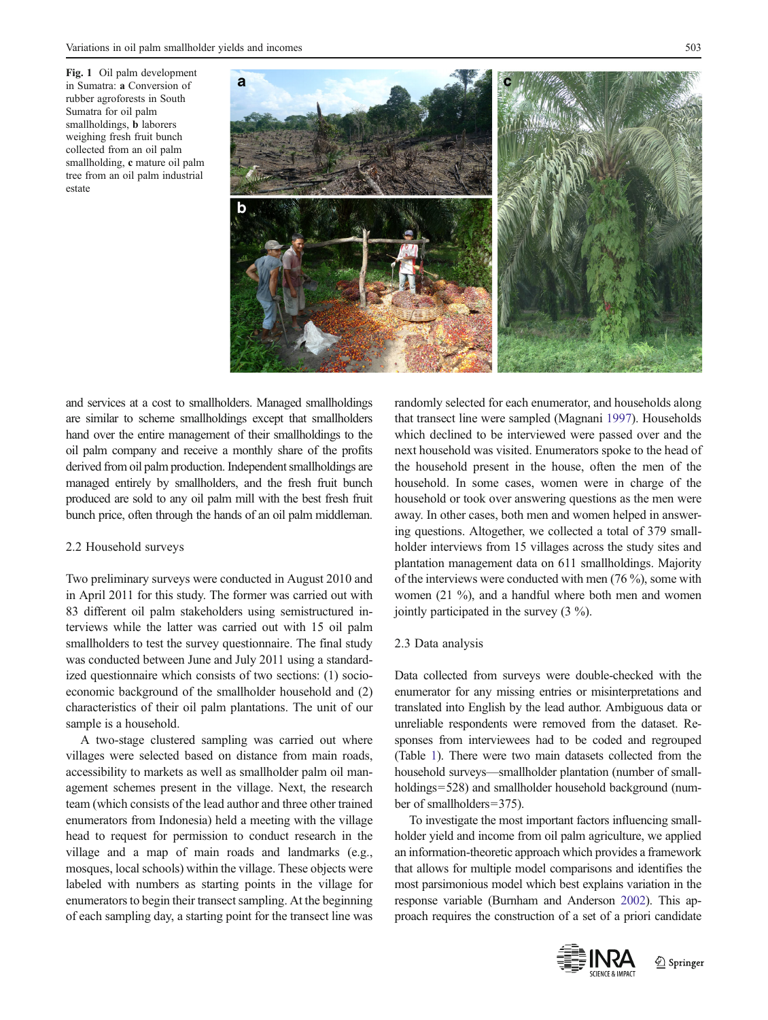<span id="page-2-0"></span>Fig. 1 Oil palm development in Sumatra: a Conversion of rubber agroforests in South Sumatra for oil palm smallholdings, b laborers weighing fresh fruit bunch collected from an oil palm smallholding, c mature oil palm tree from an oil palm industrial estate



and services at a cost to smallholders. Managed smallholdings are similar to scheme smallholdings except that smallholders hand over the entire management of their smallholdings to the oil palm company and receive a monthly share of the profits derived from oil palm production. Independent smallholdings are managed entirely by smallholders, and the fresh fruit bunch produced are sold to any oil palm mill with the best fresh fruit bunch price, often through the hands of an oil palm middleman.

## 2.2 Household surveys

Two preliminary surveys were conducted in August 2010 and in April 2011 for this study. The former was carried out with 83 different oil palm stakeholders using semistructured interviews while the latter was carried out with 15 oil palm smallholders to test the survey questionnaire. The final study was conducted between June and July 2011 using a standardized questionnaire which consists of two sections: (1) socioeconomic background of the smallholder household and (2) characteristics of their oil palm plantations. The unit of our sample is a household.

A two-stage clustered sampling was carried out where villages were selected based on distance from main roads, accessibility to markets as well as smallholder palm oil management schemes present in the village. Next, the research team (which consists of the lead author and three other trained enumerators from Indonesia) held a meeting with the village head to request for permission to conduct research in the village and a map of main roads and landmarks (e.g., mosques, local schools) within the village. These objects were labeled with numbers as starting points in the village for enumerators to begin their transect sampling. At the beginning of each sampling day, a starting point for the transect line was randomly selected for each enumerator, and households along that transect line were sampled (Magnani [1997\)](#page-12-0). Households which declined to be interviewed were passed over and the next household was visited. Enumerators spoke to the head of the household present in the house, often the men of the household. In some cases, women were in charge of the household or took over answering questions as the men were away. In other cases, both men and women helped in answering questions. Altogether, we collected a total of 379 smallholder interviews from 15 villages across the study sites and plantation management data on 611 smallholdings. Majority of the interviews were conducted with men (76 %), some with women (21 %), and a handful where both men and women jointly participated in the survey (3 %).

#### 2.3 Data analysis

Data collected from surveys were double-checked with the enumerator for any missing entries or misinterpretations and translated into English by the lead author. Ambiguous data or unreliable respondents were removed from the dataset. Responses from interviewees had to be coded and regrouped (Table [1\)](#page-3-0). There were two main datasets collected from the household surveys—smallholder plantation (number of smallholdings=528) and smallholder household background (number of smallholders=375).

To investigate the most important factors influencing smallholder yield and income from oil palm agriculture, we applied an information-theoretic approach which provides a framework that allows for multiple model comparisons and identifies the most parsimonious model which best explains variation in the response variable (Burnham and Anderson [2002\)](#page-11-0). This approach requires the construction of a set of a priori candidate



2 Springer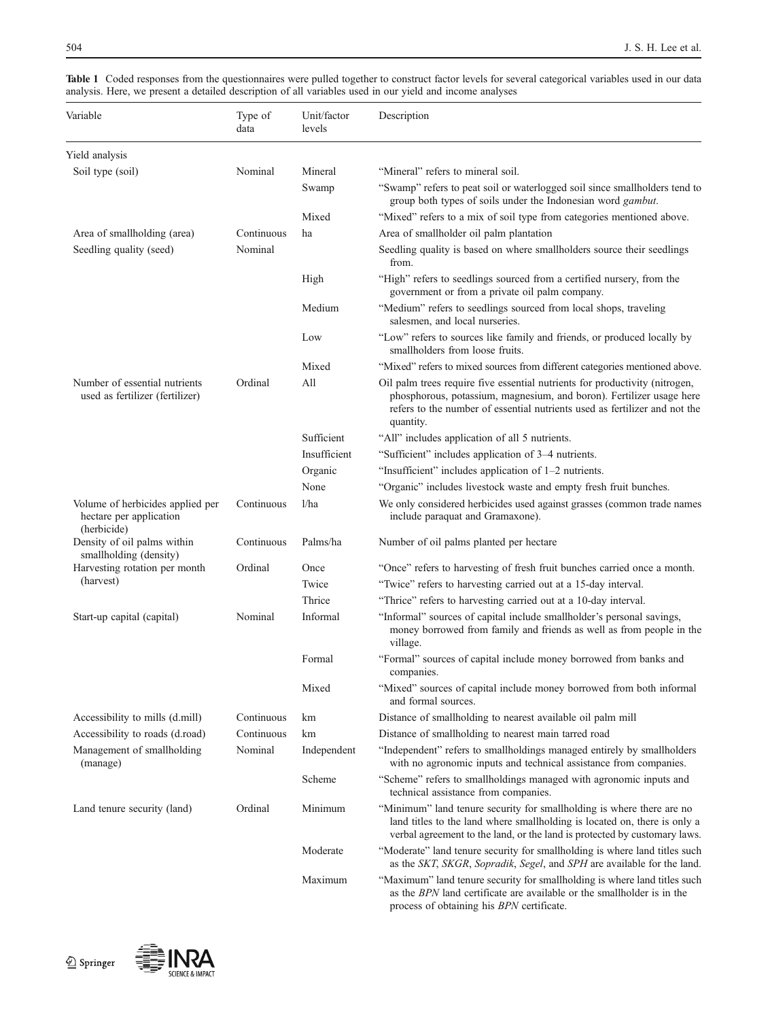| Variable                                                                   | Type of<br>data | Unit/factor<br>levels | Description                                                                                                                                                                                                                                    |
|----------------------------------------------------------------------------|-----------------|-----------------------|------------------------------------------------------------------------------------------------------------------------------------------------------------------------------------------------------------------------------------------------|
| Yield analysis                                                             |                 |                       |                                                                                                                                                                                                                                                |
| Soil type (soil)                                                           | Nominal         | Mineral               | "Mineral" refers to mineral soil.                                                                                                                                                                                                              |
|                                                                            |                 | Swamp                 | "Swamp" refers to peat soil or waterlogged soil since smallholders tend to<br>group both types of soils under the Indonesian word gambut.                                                                                                      |
|                                                                            |                 | Mixed                 | "Mixed" refers to a mix of soil type from categories mentioned above.                                                                                                                                                                          |
| Area of smallholding (area)                                                | Continuous      | ha                    | Area of smallholder oil palm plantation                                                                                                                                                                                                        |
| Seedling quality (seed)                                                    | Nominal         |                       | Seedling quality is based on where smallholders source their seedlings<br>from.                                                                                                                                                                |
|                                                                            |                 | High                  | "High" refers to seedlings sourced from a certified nursery, from the<br>government or from a private oil palm company.                                                                                                                        |
|                                                                            |                 | Medium                | "Medium" refers to seedlings sourced from local shops, traveling<br>salesmen, and local nurseries.                                                                                                                                             |
|                                                                            |                 | Low                   | "Low" refers to sources like family and friends, or produced locally by<br>smallholders from loose fruits.                                                                                                                                     |
|                                                                            |                 | Mixed                 | "Mixed" refers to mixed sources from different categories mentioned above.                                                                                                                                                                     |
| Number of essential nutrients<br>used as fertilizer (fertilizer)           | Ordinal         | All                   | Oil palm trees require five essential nutrients for productivity (nitrogen,<br>phosphorous, potassium, magnesium, and boron). Fertilizer usage here<br>refers to the number of essential nutrients used as fertilizer and not the<br>quantity. |
|                                                                            |                 | Sufficient            | "All" includes application of all 5 nutrients.                                                                                                                                                                                                 |
|                                                                            |                 | Insufficient          | "Sufficient" includes application of 3-4 nutrients.                                                                                                                                                                                            |
|                                                                            |                 | Organic               | "Insufficient" includes application of 1-2 nutrients.                                                                                                                                                                                          |
|                                                                            |                 | None                  | "Organic" includes livestock waste and empty fresh fruit bunches.                                                                                                                                                                              |
| Volume of herbicides applied per<br>hectare per application<br>(herbicide) | Continuous      | 1/ha                  | We only considered herbicides used against grasses (common trade names<br>include paraquat and Gramaxone).                                                                                                                                     |
| Density of oil palms within<br>smallholding (density)                      | Continuous      | Palms/ha              | Number of oil palms planted per hectare                                                                                                                                                                                                        |
| Harvesting rotation per month                                              | Ordinal         | Once                  | "Once" refers to harvesting of fresh fruit bunches carried once a month.                                                                                                                                                                       |
| (harvest)                                                                  |                 | Twice                 | "Twice" refers to harvesting carried out at a 15-day interval.                                                                                                                                                                                 |
|                                                                            |                 | Thrice                | "Thrice" refers to harvesting carried out at a 10-day interval.                                                                                                                                                                                |
| Start-up capital (capital)                                                 | Nominal         | Informal              | "Informal" sources of capital include smallholder's personal savings,<br>money borrowed from family and friends as well as from people in the<br>village.                                                                                      |
|                                                                            |                 | Formal                | "Formal" sources of capital include money borrowed from banks and<br>companies.                                                                                                                                                                |
|                                                                            |                 | Mixed                 | "Mixed" sources of capital include money borrowed from both informal<br>and formal sources.                                                                                                                                                    |
| Accessibility to mills (d.mill)                                            | Continuous      | km                    | Distance of smallholding to nearest available oil palm mill                                                                                                                                                                                    |
| Accessibility to roads (d.road)                                            | Continuous      | km                    | Distance of smallholding to nearest main tarred road                                                                                                                                                                                           |
| Management of smallholding<br>(manage)                                     | Nominal         | Independent           | "Independent" refers to smallholdings managed entirely by smallholders<br>with no agronomic inputs and technical assistance from companies.                                                                                                    |
|                                                                            |                 | Scheme                | "Scheme" refers to smallholdings managed with agronomic inputs and<br>technical assistance from companies.                                                                                                                                     |
| Land tenure security (land)                                                | Ordinal         | Minimum               | "Minimum" land tenure security for smallholding is where there are no<br>land titles to the land where smallholding is located on, there is only a<br>verbal agreement to the land, or the land is protected by customary laws.                |
|                                                                            |                 | Moderate              | "Moderate" land tenure security for smallholding is where land titles such<br>as the SKT, SKGR, Sopradik, Segel, and SPH are available for the land.                                                                                           |
|                                                                            |                 | Maximum               | "Maximum" land tenure security for smallholding is where land titles such<br>as the BPN land certificate are available or the smallholder is in the<br>process of obtaining his BPN certificate.                                               |

<span id="page-3-0"></span>

| Table 1 Coded responses from the questionnaires were pulled together to construct factor levels for several categorical variables used in our data |
|----------------------------------------------------------------------------------------------------------------------------------------------------|
| analysis. Here, we present a detailed description of all variables used in our yield and income analyses                                           |

 $\underline{\textcircled{\tiny 2}}$  Springer

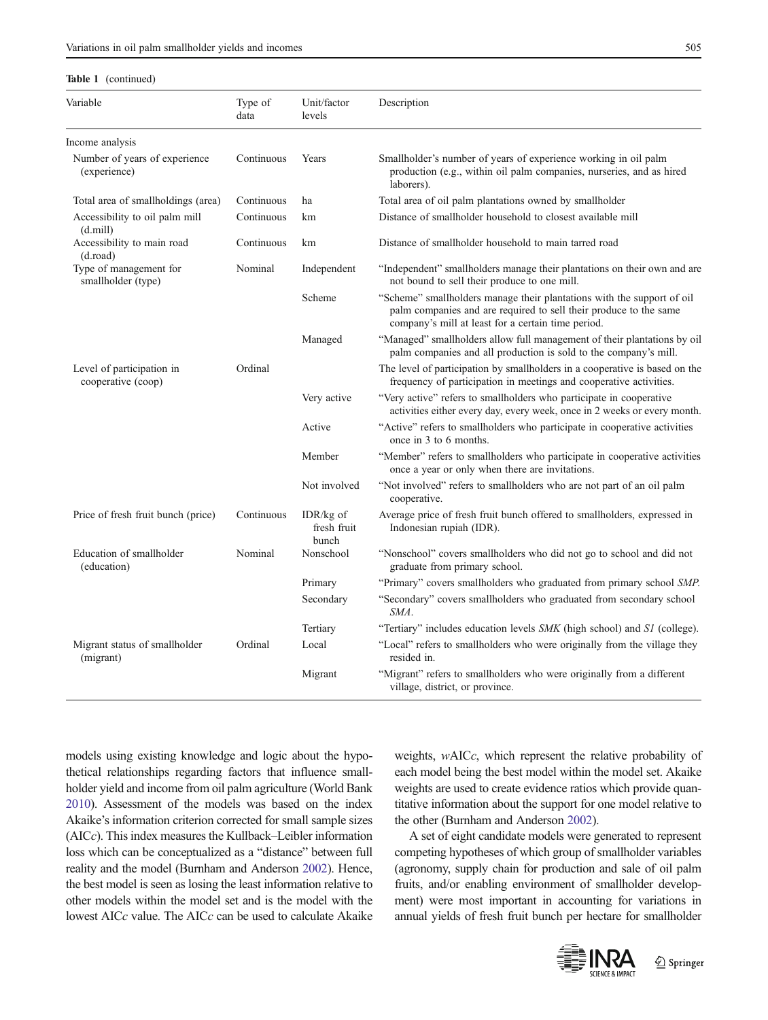#### Table 1 (continued)

| Variable                                        | Type of<br>data | Unit/factor<br>levels             | Description                                                                                                                                                                                       |
|-------------------------------------------------|-----------------|-----------------------------------|---------------------------------------------------------------------------------------------------------------------------------------------------------------------------------------------------|
| Income analysis                                 |                 |                                   |                                                                                                                                                                                                   |
| Number of years of experience<br>(experience)   | Continuous      | Years                             | Smallholder's number of years of experience working in oil palm<br>production (e.g., within oil palm companies, nurseries, and as hired<br>laborers).                                             |
| Total area of smallholdings (area)              | Continuous      | ha                                | Total area of oil palm plantations owned by smallholder                                                                                                                                           |
| Accessibility to oil palm mill<br>(d. mill)     | Continuous      | km                                | Distance of smallholder household to closest available mill                                                                                                                                       |
| Accessibility to main road<br>(d.read)          | Continuous      | km                                | Distance of smallholder household to main tarred road                                                                                                                                             |
| Type of management for<br>smallholder (type)    | Nominal         | Independent                       | "Independent" smallholders manage their plantations on their own and are<br>not bound to sell their produce to one mill.                                                                          |
|                                                 |                 | Scheme                            | "Scheme" smallholders manage their plantations with the support of oil<br>palm companies and are required to sell their produce to the same<br>company's mill at least for a certain time period. |
|                                                 |                 | Managed                           | "Managed" smallholders allow full management of their plantations by oil<br>palm companies and all production is sold to the company's mill.                                                      |
| Level of participation in<br>cooperative (coop) | Ordinal         |                                   | The level of participation by smallholders in a cooperative is based on the<br>frequency of participation in meetings and cooperative activities.                                                 |
|                                                 |                 | Very active                       | "Very active" refers to smallholders who participate in cooperative<br>activities either every day, every week, once in 2 weeks or every month.                                                   |
|                                                 |                 | Active                            | "Active" refers to smallholders who participate in cooperative activities<br>once in 3 to 6 months.                                                                                               |
|                                                 |                 | Member                            | "Member" refers to smallholders who participate in cooperative activities<br>once a year or only when there are invitations.                                                                      |
|                                                 |                 | Not involved                      | "Not involved" refers to smallholders who are not part of an oil palm<br>cooperative.                                                                                                             |
| Price of fresh fruit bunch (price)              | Continuous      | IDR/kg of<br>fresh fruit<br>bunch | Average price of fresh fruit bunch offered to smallholders, expressed in<br>Indonesian rupiah (IDR).                                                                                              |
| Education of smallholder<br>(education)         | Nominal         | Nonschool                         | "Nonschool" covers smallholders who did not go to school and did not<br>graduate from primary school.                                                                                             |
|                                                 |                 | Primary                           | "Primary" covers smallholders who graduated from primary school SMP.                                                                                                                              |
|                                                 |                 | Secondary                         | "Secondary" covers smallholders who graduated from secondary school<br>SMA.                                                                                                                       |
|                                                 |                 | Tertiary                          | "Tertiary" includes education levels SMK (high school) and S1 (college).                                                                                                                          |
| Migrant status of smallholder<br>(migrant)      | Ordinal         | Local                             | "Local" refers to smallholders who were originally from the village they<br>resided in.                                                                                                           |
|                                                 |                 | Migrant                           | "Migrant" refers to smallholders who were originally from a different<br>village, district, or province.                                                                                          |

models using existing knowledge and logic about the hypothetical relationships regarding factors that influence smallholder yield and income from oil palm agriculture (World Bank [2010](#page-12-0)). Assessment of the models was based on the index Akaike's information criterion corrected for small sample sizes (AICc). This index measures the Kullback–Leibler information loss which can be conceptualized as a "distance" between full reality and the model (Burnham and Anderson [2002\)](#page-11-0). Hence, the best model is seen as losing the least information relative to other models within the model set and is the model with the lowest AICc value. The AICc can be used to calculate Akaike weights, wAICc, which represent the relative probability of each model being the best model within the model set. Akaike weights are used to create evidence ratios which provide quantitative information about the support for one model relative to the other (Burnham and Anderson [2002](#page-11-0)).

A set of eight candidate models were generated to represent competing hypotheses of which group of smallholder variables (agronomy, supply chain for production and sale of oil palm fruits, and/or enabling environment of smallholder development) were most important in accounting for variations in annual yields of fresh fruit bunch per hectare for smallholder

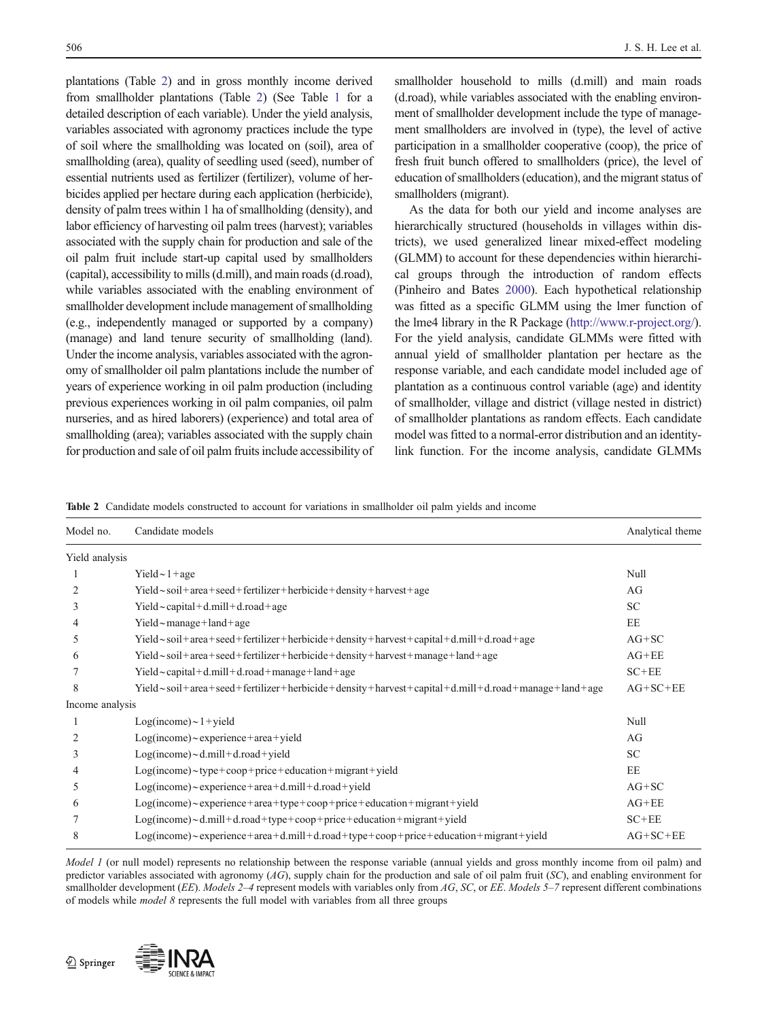plantations (Table 2) and in gross monthly income derived from smallholder plantations (Table 2) (See Table [1](#page-3-0) for a detailed description of each variable). Under the yield analysis, variables associated with agronomy practices include the type of soil where the smallholding was located on (soil), area of smallholding (area), quality of seedling used (seed), number of essential nutrients used as fertilizer (fertilizer), volume of herbicides applied per hectare during each application (herbicide), density of palm trees within 1 ha of smallholding (density), and labor efficiency of harvesting oil palm trees (harvest); variables associated with the supply chain for production and sale of the oil palm fruit include start-up capital used by smallholders (capital), accessibility to mills (d.mill), and main roads (d.road), while variables associated with the enabling environment of smallholder development include management of smallholding (e.g., independently managed or supported by a company) (manage) and land tenure security of smallholding (land). Under the income analysis, variables associated with the agronomy of smallholder oil palm plantations include the number of years of experience working in oil palm production (including previous experiences working in oil palm companies, oil palm nurseries, and as hired laborers) (experience) and total area of smallholding (area); variables associated with the supply chain for production and sale of oil palm fruits include accessibility of smallholder household to mills (d.mill) and main roads (d.road), while variables associated with the enabling environment of smallholder development include the type of management smallholders are involved in (type), the level of active participation in a smallholder cooperative (coop), the price of fresh fruit bunch offered to smallholders (price), the level of education of smallholders (education), and the migrant status of smallholders (migrant).

As the data for both our yield and income analyses are hierarchically structured (households in villages within districts), we used generalized linear mixed-effect modeling (GLMM) to account for these dependencies within hierarchical groups through the introduction of random effects (Pinheiro and Bates [2000\)](#page-12-0). Each hypothetical relationship was fitted as a specific GLMM using the lmer function of the lme4 library in the R Package [\(http://www.r-project.org/\)](http://www.r-project.org/). For the yield analysis, candidate GLMMs were fitted with annual yield of smallholder plantation per hectare as the response variable, and each candidate model included age of plantation as a continuous control variable (age) and identity of smallholder, village and district (village nested in district) of smallholder plantations as random effects. Each candidate model was fitted to a normal-error distribution and an identitylink function. For the income analysis, candidate GLMMs

Table 2 Candidate models constructed to account for variations in smallholder oil palm yields and income

| Model no.       | Candidate models                                                                                                              | Analytical theme |  |
|-----------------|-------------------------------------------------------------------------------------------------------------------------------|------------------|--|
| Yield analysis  |                                                                                                                               |                  |  |
|                 | Yield $\sim$ 1 + age                                                                                                          | Null             |  |
| 2               | $Yield \sim soil + area + seed + fertilizer + herbicide + density + harvest + age$                                            | AG               |  |
| 3               | $Yield \sim capital + d.mill + droad + age$                                                                                   | <b>SC</b>        |  |
| 4               | Yield $\sim$ manage + land + age                                                                                              | EE               |  |
| 5               | $Yield \sim soil + area + seed + fertilizer + herbicide + density + harvest + capital + d.mill + d road + age$                | $AG+SC$          |  |
| 6               | $Yield \sim soil + area + seed + fertilizer + herbicide + density + harvest + manage + land + age$                            | $AG+EE$          |  |
|                 | $Yield \sim capital + d.mill + droad + manage + land + age$                                                                   | $SC + EE$        |  |
| 8               | $Yield \sim soil + area + seed + fertilizer + herbicide + density + harvest + capital + d.mill + droad + manage + land + age$ | $AG+SC+EE$       |  |
| Income analysis |                                                                                                                               |                  |  |
| 1               | $Log(income) \sim 1 + yield$                                                                                                  | Null             |  |
| 2               | Log(income)~experience+area+yield                                                                                             | AG               |  |
| 3               | $Log(income) \sim d.mill + droad + yield$                                                                                     | <b>SC</b>        |  |
| 4               | $Log(income)~$ + type + coop + price + education + migrant + yield                                                            | EE               |  |
| 5               | $Log(income) \sim experience + area + d.mill + droad + yield$                                                                 | $AG+SC$          |  |
| 6               | Log(income)~experience+area+type+coop+price+education+migrant+yield                                                           | $AG+EE$          |  |
|                 | $Log(income) \sim d.mill + droad + type + coop + price + education + migrant + yield$                                         | $SC + EE$        |  |
| 8               | $Log(income) \sim$ experience + area + d.mill + d.road + type + coop + price + education + migrant + yield                    | $AG+SC+EE$       |  |
|                 |                                                                                                                               |                  |  |

Model 1 (or null model) represents no relationship between the response variable (annual yields and gross monthly income from oil palm) and predictor variables associated with agronomy (AG), supply chain for the production and sale of oil palm fruit (SC), and enabling environment for smallholder development (EE). Models 2-4 represent models with variables only from AG, SC, or EE. Models 5-7 represent different combinations of models while model 8 represents the full model with variables from all three groups

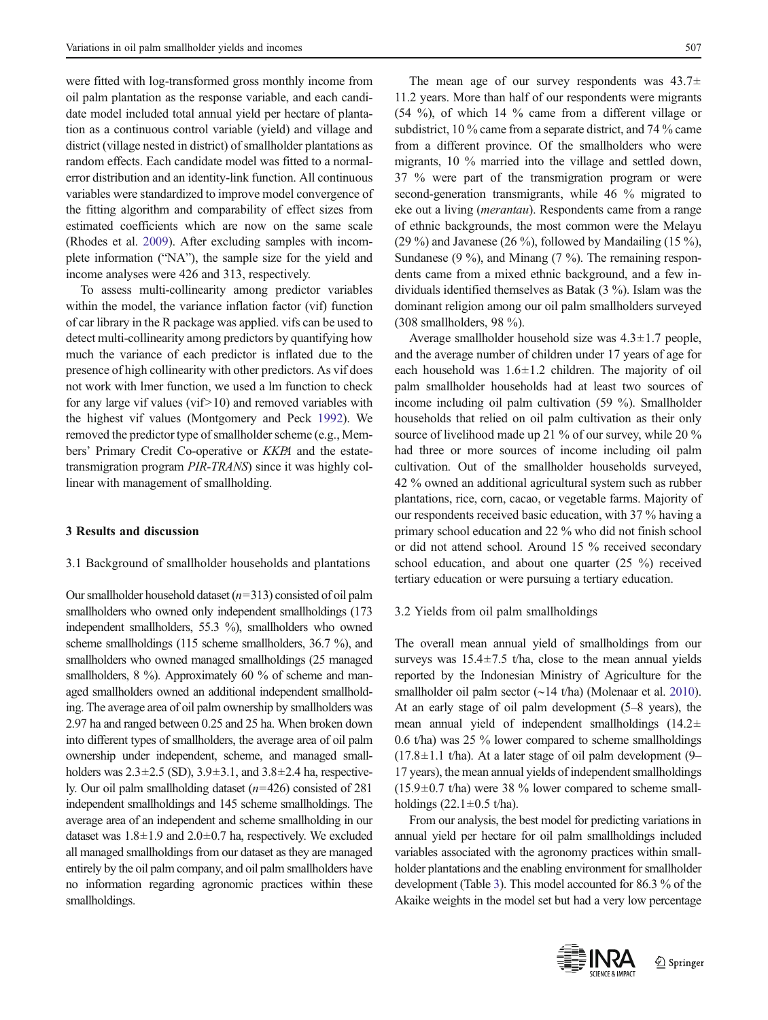were fitted with log-transformed gross monthly income from oil palm plantation as the response variable, and each candidate model included total annual yield per hectare of plantation as a continuous control variable (yield) and village and district (village nested in district) of smallholder plantations as random effects. Each candidate model was fitted to a normalerror distribution and an identity-link function. All continuous variables were standardized to improve model convergence of the fitting algorithm and comparability of effect sizes from estimated coefficients which are now on the same scale (Rhodes et al. [2009\)](#page-12-0). After excluding samples with incomplete information ("NA"), the sample size for the yield and income analyses were 426 and 313, respectively.

To assess multi-collinearity among predictor variables within the model, the variance inflation factor (vif) function of car library in the R package was applied. vifs can be used to detect multi-collinearity among predictors by quantifying how much the variance of each predictor is inflated due to the presence of high collinearity with other predictors. As vif does not work with lmer function, we used a lm function to check for any large vif values (vif $>10$ ) and removed variables with the highest vif values (Montgomery and Peck [1992\)](#page-12-0). We removed the predictor type of smallholder scheme (e.g., Members' Primary Credit Co-operative or KKPA and the estatetransmigration program PIR-TRANS) since it was highly collinear with management of smallholding.

#### 3 Results and discussion

#### 3.1 Background of smallholder households and plantations

Our smallholder household dataset  $(n=313)$  consisted of oil palm smallholders who owned only independent smallholdings (173) independent smallholders, 55.3 %), smallholders who owned scheme smallholdings (115 scheme smallholders, 36.7 %), and smallholders who owned managed smallholdings (25 managed smallholders, 8 %). Approximately 60 % of scheme and managed smallholders owned an additional independent smallholding. The average area of oil palm ownership by smallholders was 2.97 ha and ranged between 0.25 and 25 ha. When broken down into different types of smallholders, the average area of oil palm ownership under independent, scheme, and managed smallholders was  $2.3 \pm 2.5$  (SD),  $3.9 \pm 3.1$ , and  $3.8 \pm 2.4$  ha, respectively. Our oil palm smallholding dataset  $(n=426)$  consisted of 281 independent smallholdings and 145 scheme smallholdings. The average area of an independent and scheme smallholding in our dataset was  $1.8 \pm 1.9$  and  $2.0 \pm 0.7$  ha, respectively. We excluded all managed smallholdings from our dataset as they are managed entirely by the oil palm company, and oil palm smallholders have no information regarding agronomic practices within these smallholdings.

The mean age of our survey respondents was  $43.7\pm$ 11.2 years. More than half of our respondents were migrants (54 %), of which 14 % came from a different village or subdistrict, 10 % came from a separate district, and 74 % came from a different province. Of the smallholders who were migrants, 10 % married into the village and settled down, 37 % were part of the transmigration program or were second-generation transmigrants, while 46 % migrated to eke out a living (merantau). Respondents came from a range of ethnic backgrounds, the most common were the Melayu (29 %) and Javanese (26 %), followed by Mandailing (15 %), Sundanese (9 %), and Minang (7 %). The remaining respondents came from a mixed ethnic background, and a few individuals identified themselves as Batak (3 %). Islam was the dominant religion among our oil palm smallholders surveyed (308 smallholders, 98 %).

Average smallholder household size was  $4.3 \pm 1.7$  people, and the average number of children under 17 years of age for each household was  $1.6 \pm 1.2$  children. The majority of oil palm smallholder households had at least two sources of income including oil palm cultivation (59 %). Smallholder households that relied on oil palm cultivation as their only source of livelihood made up 21 % of our survey, while 20 % had three or more sources of income including oil palm cultivation. Out of the smallholder households surveyed, 42 % owned an additional agricultural system such as rubber plantations, rice, corn, cacao, or vegetable farms. Majority of our respondents received basic education, with 37 % having a primary school education and 22 % who did not finish school or did not attend school. Around 15 % received secondary school education, and about one quarter (25 %) received tertiary education or were pursuing a tertiary education.

#### 3.2 Yields from oil palm smallholdings

The overall mean annual yield of smallholdings from our surveys was  $15.4 \pm 7.5$  t/ha, close to the mean annual yields reported by the Indonesian Ministry of Agriculture for the smallholder oil palm sector (∼14 t/ha) (Molenaar et al. [2010\)](#page-12-0). At an early stage of oil palm development (5–8 years), the mean annual yield of independent smallholdings  $(14.2 \pm$ 0.6 t/ha) was 25 % lower compared to scheme smallholdings  $(17.8\pm1.1 \text{ t/ha})$ . At a later stage of oil palm development  $(9-$ 17 years), the mean annual yields of independent smallholdings  $(15.9\pm0.7 \text{ t/ha})$  were 38 % lower compared to scheme smallholdings  $(22.1 \pm 0.5 \text{ t/ha})$ .

From our analysis, the best model for predicting variations in annual yield per hectare for oil palm smallholdings included variables associated with the agronomy practices within smallholder plantations and the enabling environment for smallholder development (Table [3\)](#page-7-0). This model accounted for 86.3 % of the Akaike weights in the model set but had a very low percentage

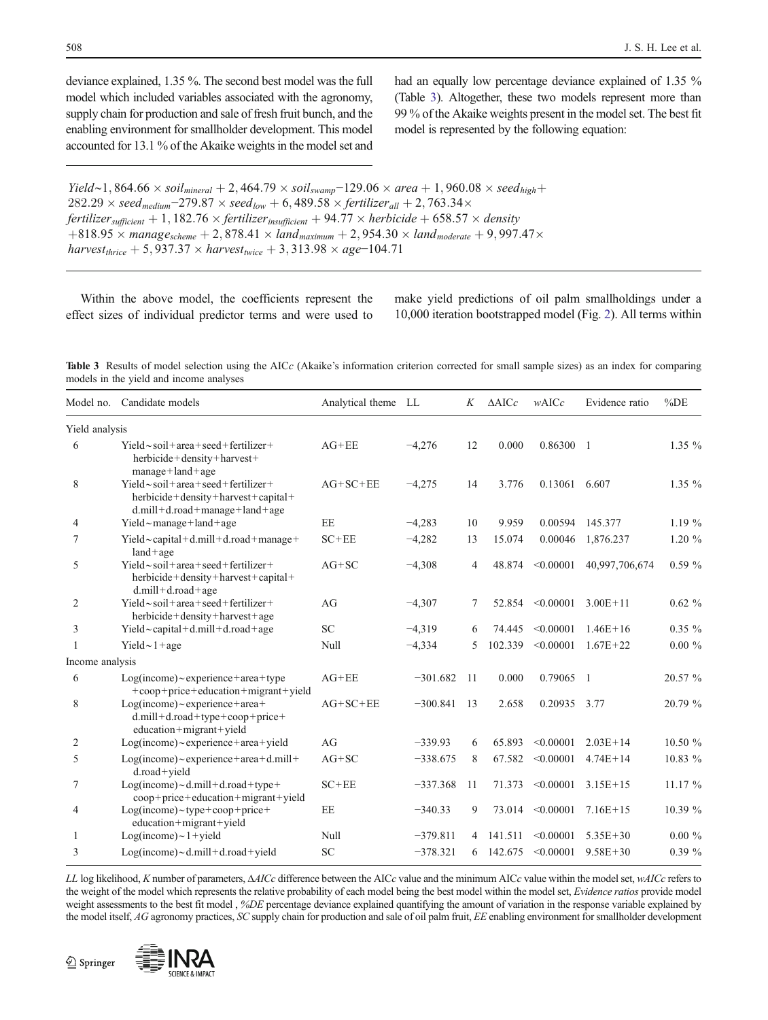<span id="page-7-0"></span>deviance explained, 1.35 %. The second best model was the full model which included variables associated with the agronomy, supply chain for production and sale of fresh fruit bunch, and the enabling environment for smallholder development. This model accounted for 13.1 % of the Akaike weights in the model set and had an equally low percentage deviance explained of 1.35 % (Table 3). Altogether, these two models represent more than 99 % of the Akaike weights present in the model set. The best fit model is represented by the following equation:

 $Yield~1,864.66 \times soil_{mineral} + 2,464.79 \times soil_{swamp}$ −129.06  $\times$  area + 1,960.08  $\times$  seed<sub>high</sub> +  $282.29 \times seed_{medium}$ <sup>-279.87</sup>  $\times seed_{low}$  + 6, 489.58  $\times$  fertilizer<sub>all</sub> + 2, 763.34 $\times$ fertilizer<sub>sufficient</sub> + 1, 182.76  $\times$  fertilizer<sub>insufficient</sub> + 94.77  $\times$  herbicide + 658.57  $\times$  density  $+818.95 \times$  manage<sub>scheme</sub>  $+ 2,878.41 \times$  land<sub>maximum</sub>  $+ 2,954.30 \times$  land<sub>moderate</sub>  $+ 9,997.47 \times$ harvest<sub>thrice</sub> + 5, 937.37  $\times$  harvest<sub>twice</sub> + 3, 313.98  $\times$  age-104.71

Within the above model, the coefficients represent the effect sizes of individual predictor terms and were used to make yield predictions of oil palm smallholdings under a 10,000 iteration bootstrapped model (Fig. [2\)](#page-8-0). All terms within

Table 3 Results of model selection using the AICc (Akaike's information criterion corrected for small sample sizes) as an index for comparing models in the yield and income analyses

| Model no.       | Candidate models                                                                                                             | Analytical theme LL |            | K  | $\triangle$ AIC $c$ | wAICc         | Evidence ratio | %DE       |
|-----------------|------------------------------------------------------------------------------------------------------------------------------|---------------------|------------|----|---------------------|---------------|----------------|-----------|
| Yield analysis  |                                                                                                                              |                     |            |    |                     |               |                |           |
| 6               | $Yield \sim soil + area + seed + fertilizer +$<br>herbicide+density+harvest+<br>$manage + land + age$                        | $AG+EE$             | $-4,276$   | 12 | 0.000               | 0.86300       | $\overline{1}$ | 1.35 $%$  |
| 8               | $Yield \sim soil + area + seed + fertilizer +$<br>herbicide+density+harvest+capital+<br>$d.mill+droad + manage + land + age$ | $AG+SC+EE$          | $-4,275$   | 14 | 3.776               | 0.13061 6.607 |                | 1.35 $%$  |
| 4               | Yield~manage+land+age                                                                                                        | EE                  | $-4,283$   | 10 | 9.959               | 0.00594       | 145.377        | $1.19\%$  |
| 7               | Yield~capital+d.mill+d.road+manage+<br>$land + age$                                                                          | $SC + EE$           | $-4,282$   | 13 | 15.074              | 0.00046       | 1,876.237      | 1.20%     |
| 5               | $Yield \sim soil + area + seed + fertilizer +$<br>herbicide+density+harvest+capital+<br>$d.mill+d road+age$                  | $AG+SC$             | $-4,308$   | 4  | 48.874              | < 0.00001     | 40,997,706,674 | $0.59\%$  |
| 2               | $Yield \sim soil + area + seed + fertilizer +$<br>herbicide+density+harvest+age                                              | AG                  | $-4,307$   | 7  | 52.854              | < 0.00001     | $3.00E + 11$   | $0.62 \%$ |
| 3               | $Yield \sim capital + d.mill + droad + age$                                                                                  | <b>SC</b>           | $-4,319$   | 6  | 74.445              | < 0.00001     | $1.46E+16$     | $0.35 \%$ |
| 1               | Yield $\sim$ 1 + age                                                                                                         | Null                | $-4,334$   | 5. | 102.339             | < 0.00001     | $1.67E + 22$   | $0.00 \%$ |
| Income analysis |                                                                                                                              |                     |            |    |                     |               |                |           |
| 6               | Log(income)~experience+area+type<br>+coop+price+education+migrant+yield                                                      | $AG + EE$           | $-301.682$ | 11 | 0.000               | 0.79065       | $\overline{1}$ | 20.57 %   |
| 8               | $Log(income) \sim experience + area +$<br>$d.mill + droad + type + coop + price +$<br>education+migrant+yield                | $AG+SC+EE$          | $-300.841$ | 13 | 2.658               | 0.20935       | 3.77           | 20.79 %   |
| 2               | $Log(income) \sim experience + area + yield$                                                                                 | AG                  | $-339.93$  | 6  | 65.893              | < 0.00001     | $2.03E+14$     | 10.50 %   |
| 5               | $Log(income) \sim experience + area + d.mill +$<br>d.road+yield                                                              | $AG+SC$             | $-338.675$ | 8  | 67.582              | < 0.00001     | $4.74E + 14$   | 10.83 %   |
| 7               | $Log(income) \sim d.mill + droad + type +$<br>coop+price+education+migrant+yield                                             | $SC + EE$           | $-337.368$ | 11 | 71.373              | < 0.00001     | $3.15E+15$     | 11.17 %   |
| 4               | $Log(income)~$ + type + coop + price +<br>education+migrant+yield                                                            | EE                  | $-340.33$  | 9  | 73.014              | < 0.00001     | $7.16E+15$     | 10.39 %   |
| 1               | $Log(income) \sim 1 + yield$                                                                                                 | Null                | $-379.811$ | 4  | 141.511             | < 0.00001     | $5.35E + 30$   | $0.00 \%$ |
| 3               | $Log(income) \sim d.mill + droad + yield$                                                                                    | <b>SC</b>           | $-378.321$ | 6  | 142.675             | < 0.00001     | $9.58E + 30$   | $0.39\%$  |

LL log likelihood, K number of parameters,  $\triangle AICc$  difference between the AICc value and the minimum AICc value within the model set, wAICc refers to the weight of the model which represents the relative probability of each model being the best model within the model set, Evidence ratios provide model weight assessments to the best fit model,  $\%DE$  percentage deviance explained quantifying the amount of variation in the response variable explained by the model itself, AG agronomy practices, SC supply chain for production and sale of oil palm fruit,  $EE$  enabling environment for smallholder development

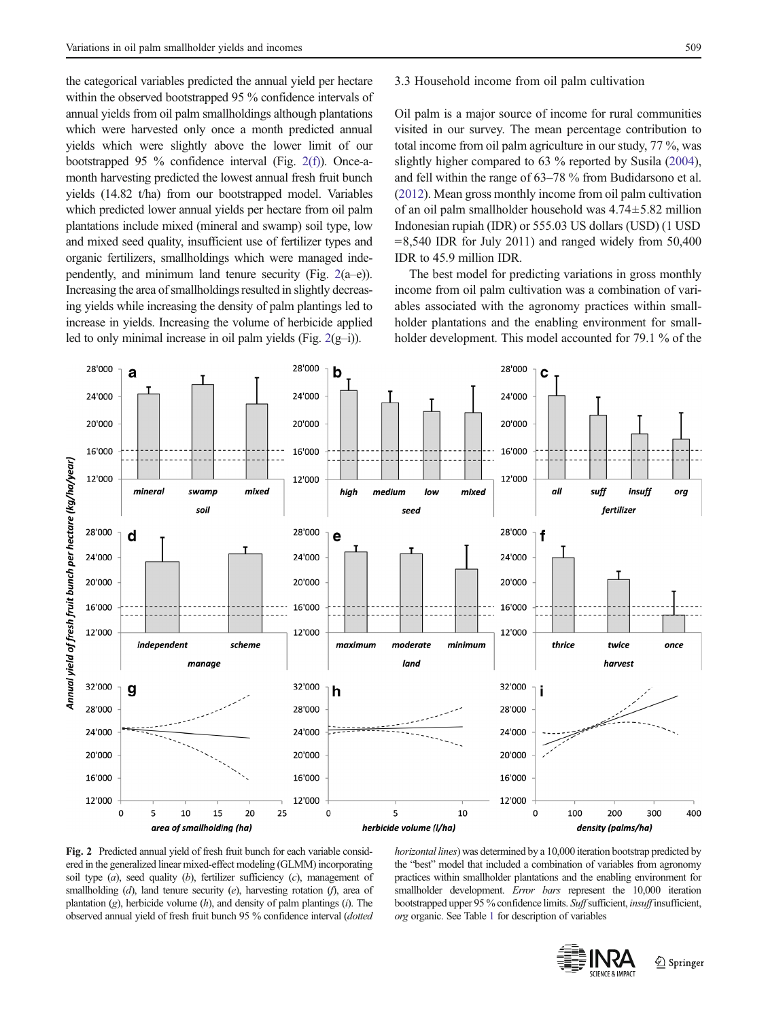<span id="page-8-0"></span>the categorical variables predicted the annual yield per hectare within the observed bootstrapped 95 % confidence intervals of annual yields from oil palm smallholdings although plantations which were harvested only once a month predicted annual yields which were slightly above the lower limit of our bootstrapped 95 % confidence interval (Fig. 2(f)). Once-amonth harvesting predicted the lowest annual fresh fruit bunch yields (14.82 t/ha) from our bootstrapped model. Variables which predicted lower annual yields per hectare from oil palm plantations include mixed (mineral and swamp) soil type, low and mixed seed quality, insufficient use of fertilizer types and organic fertilizers, smallholdings which were managed independently, and minimum land tenure security (Fig. 2(a–e)). Increasing the area of smallholdings resulted in slightly decreasing yields while increasing the density of palm plantings led to increase in yields. Increasing the volume of herbicide applied led to only minimal increase in oil palm yields (Fig.  $2(g-i)$ ).

# 3.3 Household income from oil palm cultivation

Oil palm is a major source of income for rural communities visited in our survey. The mean percentage contribution to total income from oil palm agriculture in our study, 77 %, was slightly higher compared to 63 % reported by Susila [\(2004\)](#page-12-0), and fell within the range of 63–78 % from Budidarsono et al. [\(2012\)](#page-11-0). Mean gross monthly income from oil palm cultivation of an oil palm smallholder household was 4.74±5.82 million Indonesian rupiah (IDR) or 555.03 US dollars (USD) (1 USD  $=8,540$  IDR for July 2011) and ranged widely from 50,400 IDR to 45.9 million IDR.

The best model for predicting variations in gross monthly income from oil palm cultivation was a combination of variables associated with the agronomy practices within smallholder plantations and the enabling environment for smallholder development. This model accounted for 79.1 % of the



Fig. 2 Predicted annual yield of fresh fruit bunch for each variable considered in the generalized linear mixed-effect modeling (GLMM) incorporating soil type  $(a)$ , seed quality  $(b)$ , fertilizer sufficiency  $(c)$ , management of smallholding  $(d)$ , land tenure security  $(e)$ , harvesting rotation  $(f)$ , area of plantation  $(g)$ , herbicide volume  $(h)$ , and density of palm plantings  $(i)$ . The observed annual yield of fresh fruit bunch 95 % confidence interval (dotted horizontal lines) was determined by a 10,000 iteration bootstrap predicted by the "best" model that included a combination of variables from agronomy practices within smallholder plantations and the enabling environment for smallholder development. Error bars represent the 10,000 iteration bootstrapped upper 95 % confidence limits. Suff sufficient, *insuff* insufficient, org organic. See Table [1](#page-3-0) for description of variables

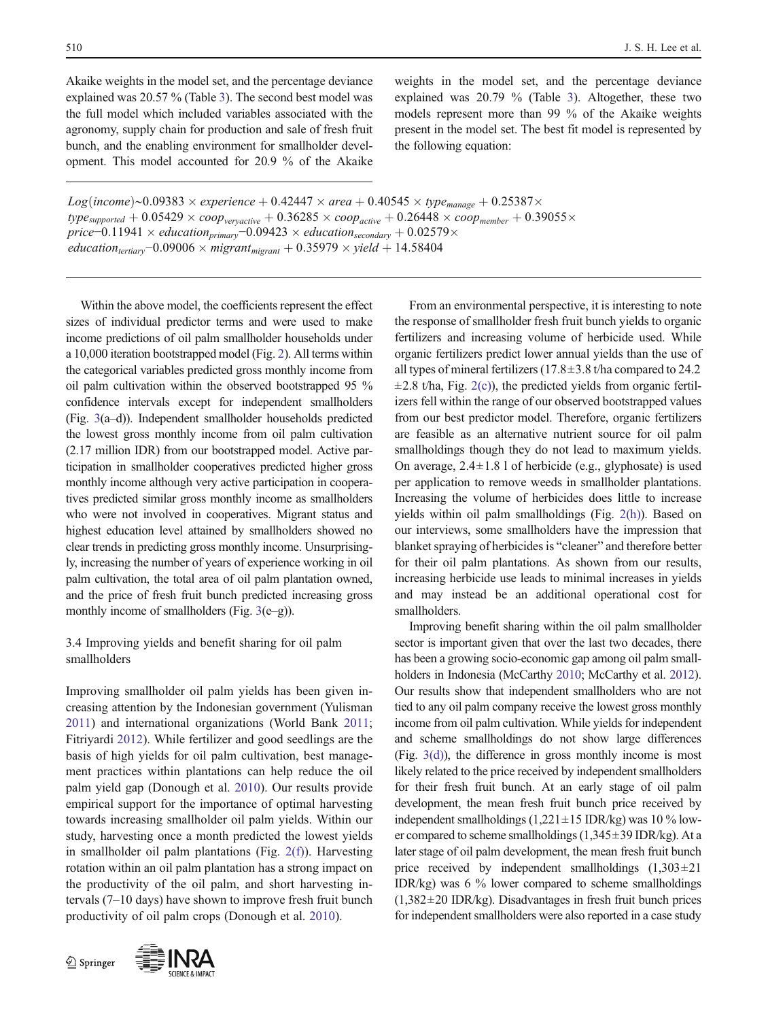Akaike weights in the model set, and the percentage deviance explained was 20.57 % (Table [3\)](#page-7-0). The second best model was the full model which included variables associated with the agronomy, supply chain for production and sale of fresh fruit bunch, and the enabling environment for smallholder development. This model accounted for 20.9 % of the Akaike

weights in the model set, and the percentage deviance explained was 20.79 % (Table [3\)](#page-7-0). Altogether, these two models represent more than 99 % of the Akaike weights present in the model set. The best fit model is represented by the following equation:

Log(income)~0.09383  $\times$  experience + 0.42447  $\times$  area + 0.40545  $\times$  type<sub>manage</sub> + 0.25387 $\times$ type<sub>supported</sub>  $+ 0.05429 \times coop_{veryactive} + 0.36285 \times coop_{active} + 0.26448 \times coop_{member} + 0.39055 \times$ price−0.11941  $\times$  education<sub>primary</sub>−0.09423  $\times$  education<sub>secondary</sub> + 0.02579 $\times$ education<sub>tertiary</sub>−0.09006 × migrant<sub>migrant</sub> + 0.35979 × yield + 14.58404

Within the above model, the coefficients represent the effect sizes of individual predictor terms and were used to make income predictions of oil palm smallholder households under a 10,000 iteration bootstrapped model (Fig. [2](#page-8-0)). All terms within the categorical variables predicted gross monthly income from oil palm cultivation within the observed bootstrapped 95 % confidence intervals except for independent smallholders (Fig. [3\(](#page-10-0)a–d)). Independent smallholder households predicted the lowest gross monthly income from oil palm cultivation (2.17 million IDR) from our bootstrapped model. Active participation in smallholder cooperatives predicted higher gross monthly income although very active participation in cooperatives predicted similar gross monthly income as smallholders who were not involved in cooperatives. Migrant status and highest education level attained by smallholders showed no clear trends in predicting gross monthly income. Unsurprisingly, increasing the number of years of experience working in oil palm cultivation, the total area of oil palm plantation owned, and the price of fresh fruit bunch predicted increasing gross monthly income of smallholders (Fig. [3](#page-10-0)(e–g)).

# 3.4 Improving yields and benefit sharing for oil palm smallholders

Improving smallholder oil palm yields has been given increasing attention by the Indonesian government (Yulisman [2011\)](#page-12-0) and international organizations (World Bank [2011](#page-12-0); Fitriyardi [2012\)](#page-11-0). While fertilizer and good seedlings are the basis of high yields for oil palm cultivation, best management practices within plantations can help reduce the oil palm yield gap (Donough et al. [2010\)](#page-11-0). Our results provide empirical support for the importance of optimal harvesting towards increasing smallholder oil palm yields. Within our study, harvesting once a month predicted the lowest yields in smallholder oil palm plantations (Fig. [2\(f\)](#page-8-0)). Harvesting rotation within an oil palm plantation has a strong impact on the productivity of the oil palm, and short harvesting intervals (7–10 days) have shown to improve fresh fruit bunch productivity of oil palm crops (Donough et al. [2010\)](#page-11-0).

 $\hat{\mathcal{D}}$  Springer



From an environmental perspective, it is interesting to note the response of smallholder fresh fruit bunch yields to organic fertilizers and increasing volume of herbicide used. While organic fertilizers predict lower annual yields than the use of all types of mineral fertilizers  $(17.8\pm3.8)$  t/ha compared to 24.2  $\pm 2.8$  t/ha, Fig. [2\(c\)\)](#page-8-0), the predicted yields from organic fertilizers fell within the range of our observed bootstrapped values from our best predictor model. Therefore, organic fertilizers are feasible as an alternative nutrient source for oil palm smallholdings though they do not lead to maximum yields. On average,  $2.4 \pm 1.8$  l of herbicide (e.g., glyphosate) is used per application to remove weeds in smallholder plantations. Increasing the volume of herbicides does little to increase yields within oil palm smallholdings (Fig. [2\(h\)\)](#page-8-0). Based on our interviews, some smallholders have the impression that blanket spraying of herbicides is "cleaner" and therefore better for their oil palm plantations. As shown from our results, increasing herbicide use leads to minimal increases in yields and may instead be an additional operational cost for smallholders.

Improving benefit sharing within the oil palm smallholder sector is important given that over the last two decades, there has been a growing socio-economic gap among oil palm small-holders in Indonesia (McCarthy [2010;](#page-12-0) McCarthy et al. [2012\)](#page-12-0). Our results show that independent smallholders who are not tied to any oil palm company receive the lowest gross monthly income from oil palm cultivation. While yields for independent and scheme smallholdings do not show large differences (Fig. [3\(d\)](#page-10-0)), the difference in gross monthly income is most likely related to the price received by independent smallholders for their fresh fruit bunch. At an early stage of oil palm development, the mean fresh fruit bunch price received by independent smallholdings  $(1,221 \pm 15 \text{ IDR/kg})$  was 10 % lower compared to scheme smallholdings  $(1,345\pm39 \text{ IDR/kg})$ . At a later stage of oil palm development, the mean fresh fruit bunch price received by independent smallholdings  $(1,303\pm21)$ IDR/kg) was 6 % lower compared to scheme smallholdings  $(1,382\pm20 \text{ IDR/kg})$ . Disadvantages in fresh fruit bunch prices for independent smallholders were also reported in a case study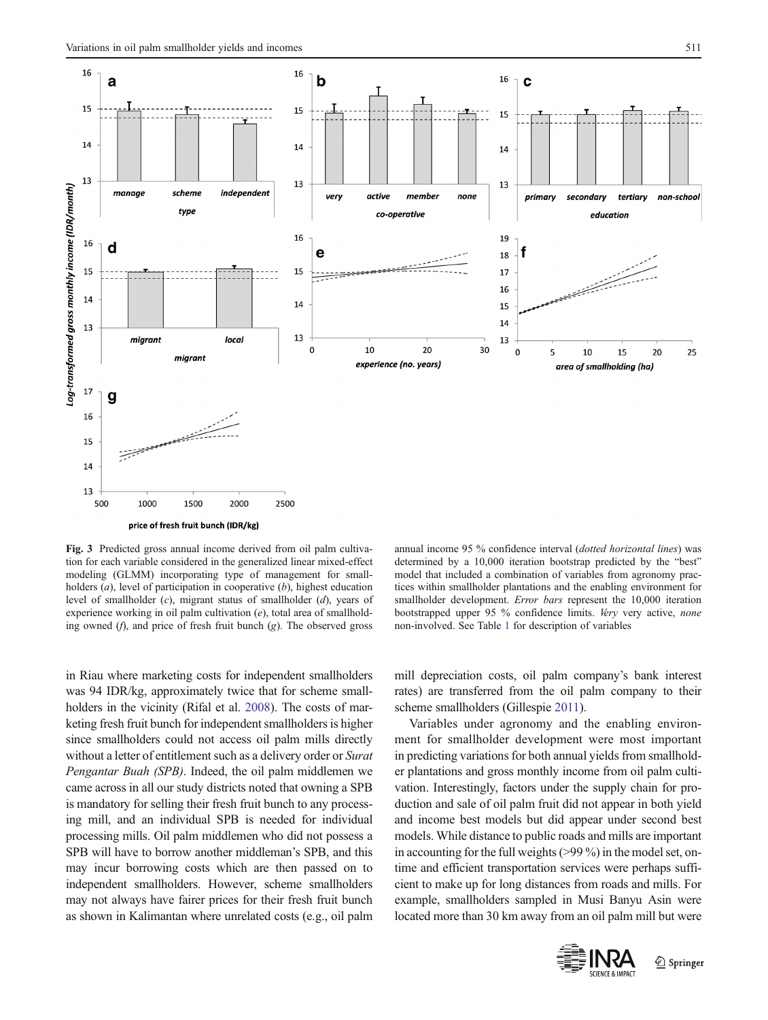<span id="page-10-0"></span>

Fig. 3 Predicted gross annual income derived from oil palm cultivation for each variable considered in the generalized linear mixed-effect modeling (GLMM) incorporating type of management for smallholders  $(a)$ , level of participation in cooperative  $(b)$ , highest education level of smallholder (c), migrant status of smallholder (d), years of experience working in oil palm cultivation  $(e)$ , total area of smallholding owned  $(f)$ , and price of fresh fruit bunch  $(g)$ . The observed gross

in Riau where marketing costs for independent smallholders was 94 IDR/kg, approximately twice that for scheme small-holders in the vicinity (Rifal et al. [2008\)](#page-12-0). The costs of marketing fresh fruit bunch for independent smallholders is higher since smallholders could not access oil palm mills directly without a letter of entitlement such as a delivery order or Surat Pengantar Buah (SPB). Indeed, the oil palm middlemen we came across in all our study districts noted that owning a SPB is mandatory for selling their fresh fruit bunch to any processing mill, and an individual SPB is needed for individual processing mills. Oil palm middlemen who did not possess a SPB will have to borrow another middleman's SPB, and this may incur borrowing costs which are then passed on to independent smallholders. However, scheme smallholders may not always have fairer prices for their fresh fruit bunch as shown in Kalimantan where unrelated costs (e.g., oil palm

annual income 95 % confidence interval (dotted horizontal lines) was determined by a 10,000 iteration bootstrap predicted by the "best" model that included a combination of variables from agronomy practices within smallholder plantations and the enabling environment for smallholder development. Error bars represent the 10,000 iteration bootstrapped upper 95 % confidence limits. Very very active, none non-involved. See Table [1](#page-3-0) for description of variables

mill depreciation costs, oil palm company's bank interest rates) are transferred from the oil palm company to their scheme smallholders (Gillespie [2011\)](#page-11-0).

Variables under agronomy and the enabling environment for smallholder development were most important in predicting variations for both annual yields from smallholder plantations and gross monthly income from oil palm cultivation. Interestingly, factors under the supply chain for production and sale of oil palm fruit did not appear in both yield and income best models but did appear under second best models. While distance to public roads and mills are important in accounting for the full weights (>99 %) in the model set, ontime and efficient transportation services were perhaps sufficient to make up for long distances from roads and mills. For example, smallholders sampled in Musi Banyu Asin were located more than 30 km away from an oil palm mill but were

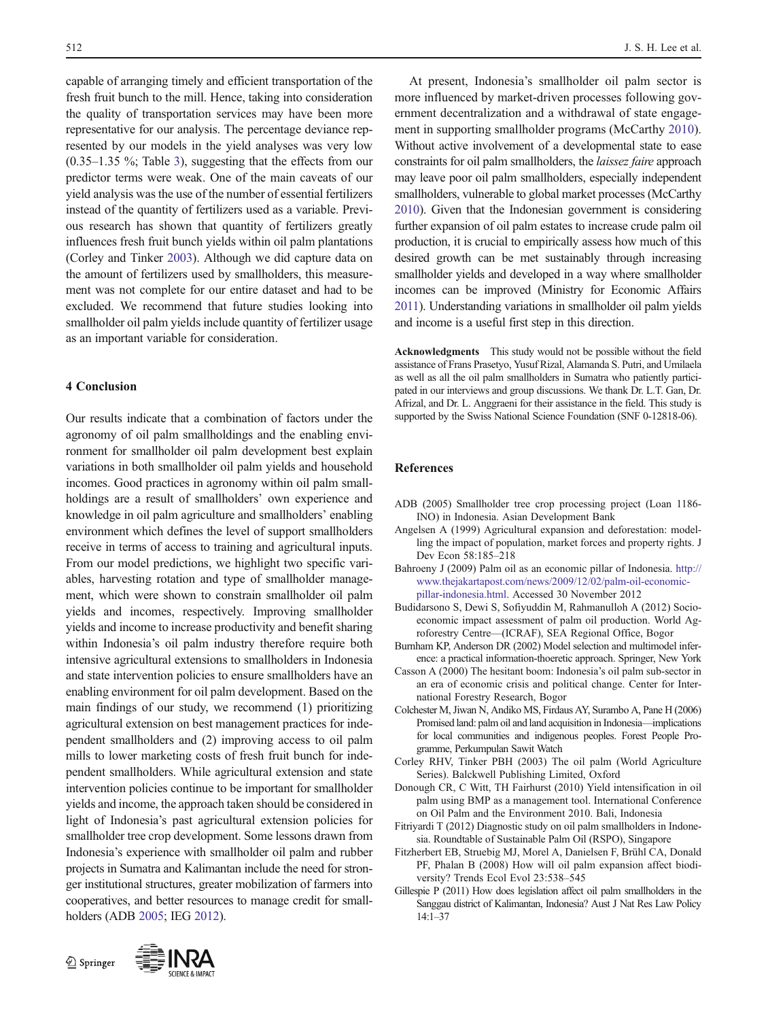<span id="page-11-0"></span>capable of arranging timely and efficient transportation of the fresh fruit bunch to the mill. Hence, taking into consideration the quality of transportation services may have been more representative for our analysis. The percentage deviance represented by our models in the yield analyses was very low (0.35–1.35 %; Table [3\)](#page-7-0), suggesting that the effects from our predictor terms were weak. One of the main caveats of our yield analysis was the use of the number of essential fertilizers instead of the quantity of fertilizers used as a variable. Previous research has shown that quantity of fertilizers greatly influences fresh fruit bunch yields within oil palm plantations (Corley and Tinker 2003). Although we did capture data on the amount of fertilizers used by smallholders, this measurement was not complete for our entire dataset and had to be excluded. We recommend that future studies looking into smallholder oil palm yields include quantity of fertilizer usage as an important variable for consideration.

# 4 Conclusion

Our results indicate that a combination of factors under the agronomy of oil palm smallholdings and the enabling environment for smallholder oil palm development best explain variations in both smallholder oil palm yields and household incomes. Good practices in agronomy within oil palm smallholdings are a result of smallholders' own experience and knowledge in oil palm agriculture and smallholders' enabling environment which defines the level of support smallholders receive in terms of access to training and agricultural inputs. From our model predictions, we highlight two specific variables, harvesting rotation and type of smallholder management, which were shown to constrain smallholder oil palm yields and incomes, respectively. Improving smallholder yields and income to increase productivity and benefit sharing within Indonesia's oil palm industry therefore require both intensive agricultural extensions to smallholders in Indonesia and state intervention policies to ensure smallholders have an enabling environment for oil palm development. Based on the main findings of our study, we recommend (1) prioritizing agricultural extension on best management practices for independent smallholders and (2) improving access to oil palm mills to lower marketing costs of fresh fruit bunch for independent smallholders. While agricultural extension and state intervention policies continue to be important for smallholder yields and income, the approach taken should be considered in light of Indonesia's past agricultural extension policies for smallholder tree crop development. Some lessons drawn from Indonesia's experience with smallholder oil palm and rubber projects in Sumatra and Kalimantan include the need for stronger institutional structures, greater mobilization of farmers into cooperatives, and better resources to manage credit for smallholders (ADB 2005; IEG [2012](#page-12-0)).

At present, Indonesia's smallholder oil palm sector is more influenced by market-driven processes following government decentralization and a withdrawal of state engagement in supporting smallholder programs (McCarthy [2010\)](#page-12-0). Without active involvement of a developmental state to ease constraints for oil palm smallholders, the laissez faire approach may leave poor oil palm smallholders, especially independent smallholders, vulnerable to global market processes (McCarthy [2010](#page-12-0)). Given that the Indonesian government is considering further expansion of oil palm estates to increase crude palm oil production, it is crucial to empirically assess how much of this desired growth can be met sustainably through increasing smallholder yields and developed in a way where smallholder incomes can be improved (Ministry for Economic Affairs [2011](#page-12-0)). Understanding variations in smallholder oil palm yields and income is a useful first step in this direction.

Acknowledgments This study would not be possible without the field assistance of Frans Prasetyo, Yusuf Rizal, Alamanda S. Putri, and Umilaela as well as all the oil palm smallholders in Sumatra who patiently participated in our interviews and group discussions. We thank Dr. L.T. Gan, Dr. Afrizal, and Dr. L. Anggraeni for their assistance in the field. This study is supported by the Swiss National Science Foundation (SNF 0-12818-06).

#### References

- ADB (2005) Smallholder tree crop processing project (Loan 1186- INO) in Indonesia. Asian Development Bank
- Angelsen A (1999) Agricultural expansion and deforestation: modelling the impact of population, market forces and property rights. J Dev Econ 58:185–218
- Bahroeny J (2009) Palm oil as an economic pillar of Indonesia. [http://](http://www.thejakartapost.com/news/2009/12/02/palm-oil-economic-pillar-indonesia.html) [www.thejakartapost.com/news/2009/12/02/palm-oil-economic](http://www.thejakartapost.com/news/2009/12/02/palm-oil-economic-pillar-indonesia.html)[pillar-indonesia.html.](http://www.thejakartapost.com/news/2009/12/02/palm-oil-economic-pillar-indonesia.html) Accessed 30 November 2012
- Budidarsono S, Dewi S, Sofiyuddin M, Rahmanulloh A (2012) Socioeconomic impact assessment of palm oil production. World Agroforestry Centre—(ICRAF), SEA Regional Office, Bogor
- Burnham KP, Anderson DR (2002) Model selection and multimodel inference: a practical information-thoeretic approach. Springer, New York
- Casson A (2000) The hesitant boom: Indonesia's oil palm sub-sector in an era of economic crisis and political change. Center for International Forestry Research, Bogor
- Colchester M, Jiwan N, Andiko MS, Firdaus AY, Surambo A, Pane H (2006) Promised land: palm oil and land acquisition in Indonesia—implications for local communities and indigenous peoples. Forest People Programme, Perkumpulan Sawit Watch
- Corley RHV, Tinker PBH (2003) The oil palm (World Agriculture Series). Balckwell Publishing Limited, Oxford
- Donough CR, C Witt, TH Fairhurst (2010) Yield intensification in oil palm using BMP as a management tool. International Conference on Oil Palm and the Environment 2010. Bali, Indonesia
- Fitriyardi T (2012) Diagnostic study on oil palm smallholders in Indonesia. Roundtable of Sustainable Palm Oil (RSPO), Singapore
- Fitzherbert EB, Struebig MJ, Morel A, Danielsen F, Brühl CA, Donald PF, Phalan B (2008) How will oil palm expansion affect biodiversity? Trends Ecol Evol 23:538–545
- Gillespie P (2011) How does legislation affect oil palm smallholders in the Sanggau district of Kalimantan, Indonesia? Aust J Nat Res Law Policy 14:1–37

 $\hat{\mathcal{D}}$  Springer